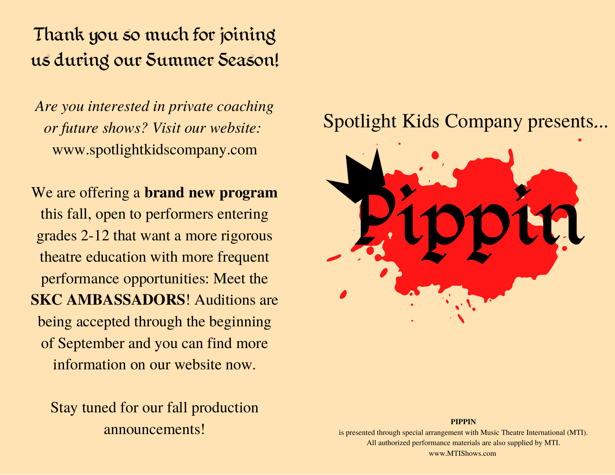#### Thank you so much for joining us during our Summer Season!

*Are you interested in private coaching or future shows? Visit our website:* www.spotlightkidscompany.com

We are offering a **brand new program** this fall, open to performers entering grades 2-12 that want a more rigorous theatre education with more frequent performance opportunities: Meet the **SKC AMBASSADORS**! Auditions are being accepted through the beginning of September and you can find more information on our website now.

Stay tuned for our fall production announcements!

#### Spotlight Kids Company presents...



is presented through special arrangement with Music Theatre International (MTI). All authorized performance materials are also supplied by MTI. www.MTIShows.com

**PIPPIN**